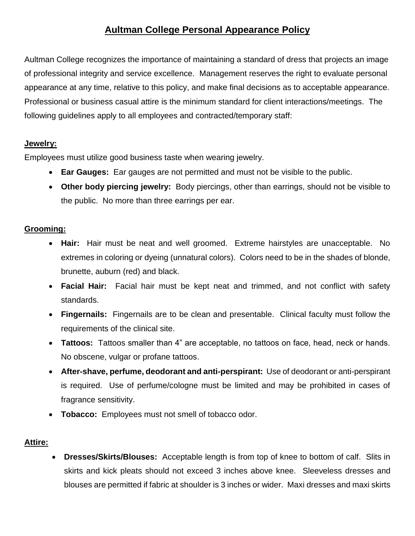# **Aultman College Personal Appearance Policy**

Aultman College recognizes the importance of maintaining a standard of dress that projects an image of professional integrity and service excellence. Management reserves the right to evaluate personal appearance at any time, relative to this policy, and make final decisions as to acceptable appearance. Professional or business casual attire is the minimum standard for client interactions/meetings. The following guidelines apply to all employees and contracted/temporary staff:

#### **Jewelry:**

Employees must utilize good business taste when wearing jewelry.

- **Ear Gauges:** Ear gauges are not permitted and must not be visible to the public.
- **Other body piercing jewelry:** Body piercings, other than earrings, should not be visible to the public. No more than three earrings per ear.

### **Grooming:**

- **Hair:** Hair must be neat and well groomed. Extreme hairstyles are unacceptable. No extremes in coloring or dyeing (unnatural colors). Colors need to be in the shades of blonde, brunette, auburn (red) and black.
- **Facial Hair:** Facial hair must be kept neat and trimmed, and not conflict with safety standards.
- **Fingernails:** Fingernails are to be clean and presentable. Clinical faculty must follow the requirements of the clinical site.
- **Tattoos:** Tattoos smaller than 4" are acceptable, no tattoos on face, head, neck or hands. No obscene, vulgar or profane tattoos.
- **After-shave, perfume, deodorant and anti-perspirant:** Use of deodorant or anti-perspirant is required. Use of perfume/cologne must be limited and may be prohibited in cases of fragrance sensitivity.
- **Tobacco:** Employees must not smell of tobacco odor.

## **Attire:**

• **Dresses/Skirts/Blouses:** Acceptable length is from top of knee to bottom of calf. Slits in skirts and kick pleats should not exceed 3 inches above knee. Sleeveless dresses and blouses are permitted if fabric at shoulder is 3 inches or wider. Maxi dresses and maxi skirts